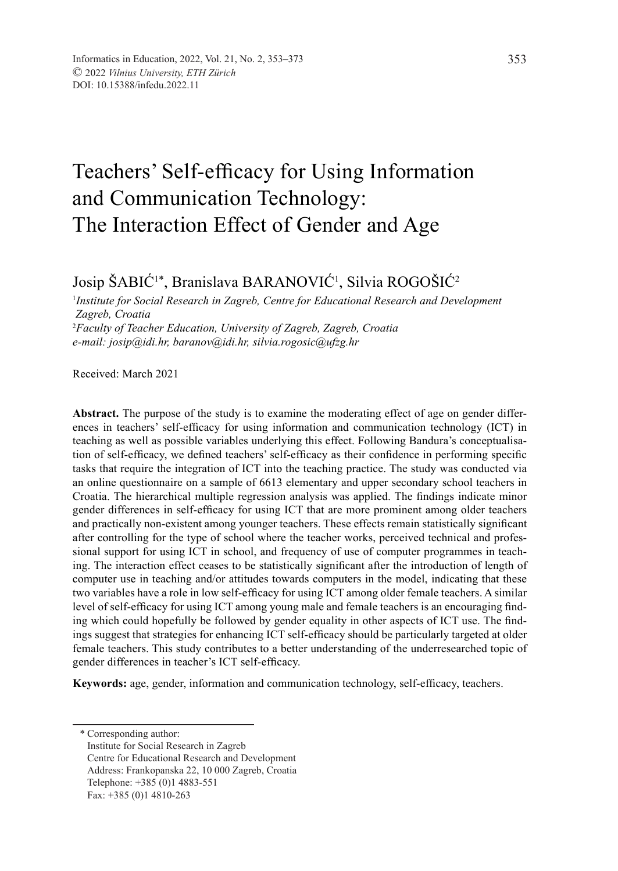# Teachers' Self-efficacy for Using Information and Communication Technology: The Interaction Effect of Gender and Age

# Josip ŠABIC'\*, Branislava BARANOVIC', Silvia ROGOŠIC<sup>2</sup>

1 *Institute for Social Research in Zagreb, Centre for Educational Research and Development Zagreb, Croatia* 2 *Faculty of Teacher Education, University of Zagreb, Zagreb, Croatia e-mail: josip@idi.hr, baranov@idi.hr, silvia.rogosic@ufzg.hr*

Received: March 2021

**Abstract.** The purpose of the study is to examine the moderating effect of age on gender differences in teachers' self-efficacy for using information and communication technology (ICT) in teaching as well as possible variables underlying this effect. Following Bandura's conceptualisation of self-efficacy, we defined teachers' self-efficacy as their confidence in performing specific tasks that require the integration of ICT into the teaching practice. The study was conducted via an online questionnaire on a sample of 6613 elementary and upper secondary school teachers in Croatia. The hierarchical multiple regression analysis was applied. The findings indicate minor gender differences in self-efficacy for using ICT that are more prominent among older teachers and practically non-existent among younger teachers. These effects remain statistically significant after controlling for the type of school where the teacher works, perceived technical and professional support for using ICT in school, and frequency of use of computer programmes in teaching. The interaction effect ceases to be statistically significant after the introduction of length of computer use in teaching and/or attitudes towards computers in the model, indicating that these two variables have a role in low self-efficacy for using ICT among older female teachers. A similar level of self-efficacy for using ICT among young male and female teachers is an encouraging finding which could hopefully be followed by gender equality in other aspects of ICT use. The findings suggest that strategies for enhancing ICT self-efficacy should be particularly targeted at older female teachers. This study contributes to a better understanding of the underresearched topic of gender differences in teacher's ICT self-efficacy.

**Keywords:** age, gender, information and communication technology, self-efficacy, teachers.

\* Corresponding author:

Institute for Social Research in Zagreb Centre for Educational Research and Development Address: Frankopanska 22, 10 000 Zagreb, Croatia Telephone: +385 (0)1 4883-551 Fax: +385 (0)1 4810-263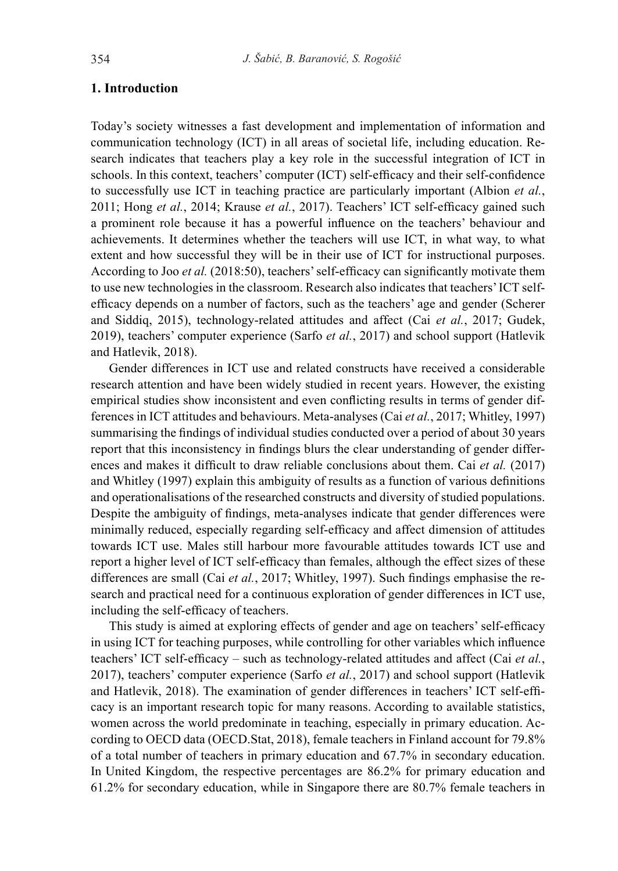# **1. Introduction**

Today's society witnesses a fast development and implementation of information and communication technology (ICT) in all areas of societal life, including education. Research indicates that teachers play a key role in the successful integration of ICT in schools. In this context, teachers' computer (ICT) self-efficacy and their self-confidence to successfully use ICT in teaching practice are particularly important (Albion *et al.*, 2011; Hong *et al.*, 2014; Krause *et al.*, 2017). Teachers' ICT self-efficacy gained such a prominent role because it has a powerful influence on the teachers' behaviour and achievements. It determines whether the teachers will use ICT, in what way, to what extent and how successful they will be in their use of ICT for instructional purposes. According to Joo *et al.* (2018:50), teachers' self-efficacy can significantly motivate them to use new technologies in the classroom. Research also indicates that teachers' ICT selfefficacy depends on a number of factors, such as the teachers' age and gender (Scherer and Siddiq, 2015), technology-related attitudes and affect (Cai *et al.*, 2017; Gudek, 2019), teachers' computer experience (Sarfo *et al.*, 2017) and school support (Hatlevik and Hatlevik, 2018).

Gender differences in ICT use and related constructs have received a considerable research attention and have been widely studied in recent years. However, the existing empirical studies show inconsistent and even conflicting results in terms of gender differences in ICT attitudes and behaviours. Meta-analyses (Cai *et al.*, 2017; Whitley, 1997) summarising the findings of individual studies conducted over a period of about 30 years report that this inconsistency in findings blurs the clear understanding of gender differences and makes it difficult to draw reliable conclusions about them. Cai *et al.* (2017) and Whitley (1997) explain this ambiguity of results as a function of various definitions and operationalisations of the researched constructs and diversity of studied populations. Despite the ambiguity of findings, meta-analyses indicate that gender differences were minimally reduced, especially regarding self-efficacy and affect dimension of attitudes towards ICT use. Males still harbour more favourable attitudes towards ICT use and report a higher level of ICT self-efficacy than females, although the effect sizes of these differences are small (Cai *et al.*, 2017; Whitley, 1997). Such findings emphasise the research and practical need for a continuous exploration of gender differences in ICT use, including the self-efficacy of teachers.

This study is aimed at exploring effects of gender and age on teachers' self-efficacy in using ICT for teaching purposes, while controlling for other variables which influence teachers' ICT self-efficacy – such as technology-related attitudes and affect (Cai *et al.*, 2017), teachers' computer experience (Sarfo *et al.*, 2017) and school support (Hatlevik and Hatlevik, 2018). The examination of gender differences in teachers' ICT self-efficacy is an important research topic for many reasons. According to available statistics, women across the world predominate in teaching, especially in primary education. According to OECD data (OECD.Stat, 2018), female teachers in Finland account for 79.8% of a total number of teachers in primary education and 67.7% in secondary education. In United Kingdom, the respective percentages are 86.2% for primary education and 61.2% for secondary education, while in Singapore there are 80.7% female teachers in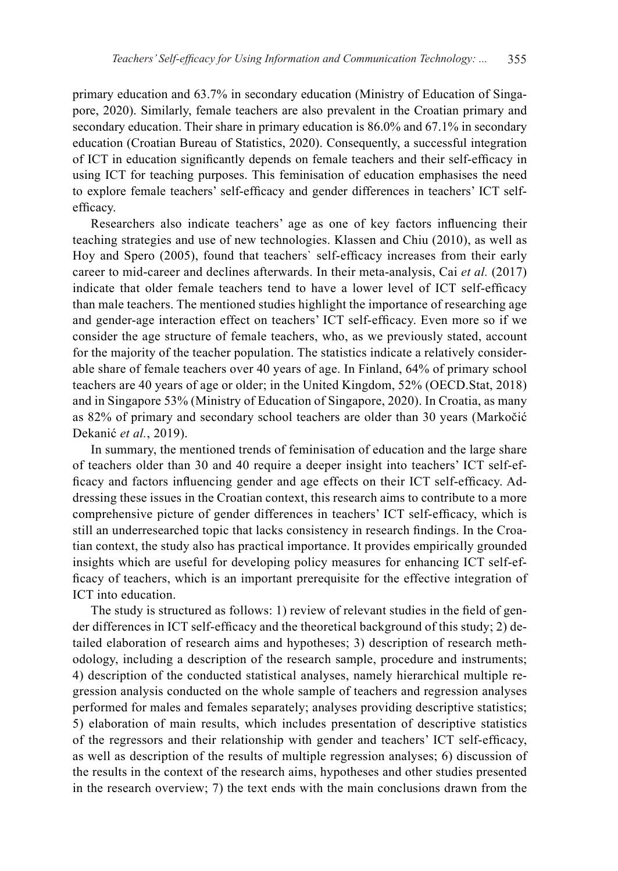primary education and 63.7% in secondary education (Ministry of Education of Singapore, 2020). Similarly, female teachers are also prevalent in the Croatian primary and secondary education. Their share in primary education is 86.0% and 67.1% in secondary education (Croatian Bureau of Statistics, 2020). Consequently, a successful integration of ICT in education significantly depends on female teachers and their self-efficacy in using ICT for teaching purposes. This feminisation of education emphasises the need to explore female teachers' self-efficacy and gender differences in teachers' ICT selfefficacy.

Researchers also indicate teachers' age as one of key factors influencing their teaching strategies and use of new technologies. Klassen and Chiu (2010), as well as Hoy and Spero (2005), found that teachers` self-efficacy increases from their early career to mid-career and declines afterwards. In their meta-analysis, Cai *et al.* (2017) indicate that older female teachers tend to have a lower level of ICT self-efficacy than male teachers. The mentioned studies highlight the importance of researching age and gender-age interaction effect on teachers' ICT self-efficacy. Even more so if we consider the age structure of female teachers, who, as we previously stated, account for the majority of the teacher population. The statistics indicate a relatively considerable share of female teachers over 40 years of age. In Finland, 64% of primary school teachers are 40 years of age or older; in the United Kingdom, 52% (OECD.Stat, 2018) and in Singapore 53% (Ministry of Education of Singapore, 2020). In Croatia, as many as 82% of primary and secondary school teachers are older than 30 years (Markočić Dekanić *et al.*, 2019).

In summary, the mentioned trends of feminisation of education and the large share of teachers older than 30 and 40 require a deeper insight into teachers' ICT self-efficacy and factors influencing gender and age effects on their ICT self-efficacy. Addressing these issues in the Croatian context, this research aims to contribute to a more comprehensive picture of gender differences in teachers' ICT self-efficacy, which is still an underresearched topic that lacks consistency in research findings. In the Croatian context, the study also has practical importance. It provides empirically grounded insights which are useful for developing policy measures for enhancing ICT self-efficacy of teachers, which is an important prerequisite for the effective integration of ICT into education.

The study is structured as follows: 1) review of relevant studies in the field of gender differences in ICT self-efficacy and the theoretical background of this study; 2) detailed elaboration of research aims and hypotheses; 3) description of research methodology, including a description of the research sample, procedure and instruments; 4) description of the conducted statistical analyses, namely hierarchical multiple regression analysis conducted on the whole sample of teachers and regression analyses performed for males and females separately; analyses providing descriptive statistics; 5) elaboration of main results, which includes presentation of descriptive statistics of the regressors and their relationship with gender and teachers' ICT self-efficacy, as well as description of the results of multiple regression analyses; 6) discussion of the results in the context of the research aims, hypotheses and other studies presented in the research overview; 7) the text ends with the main conclusions drawn from the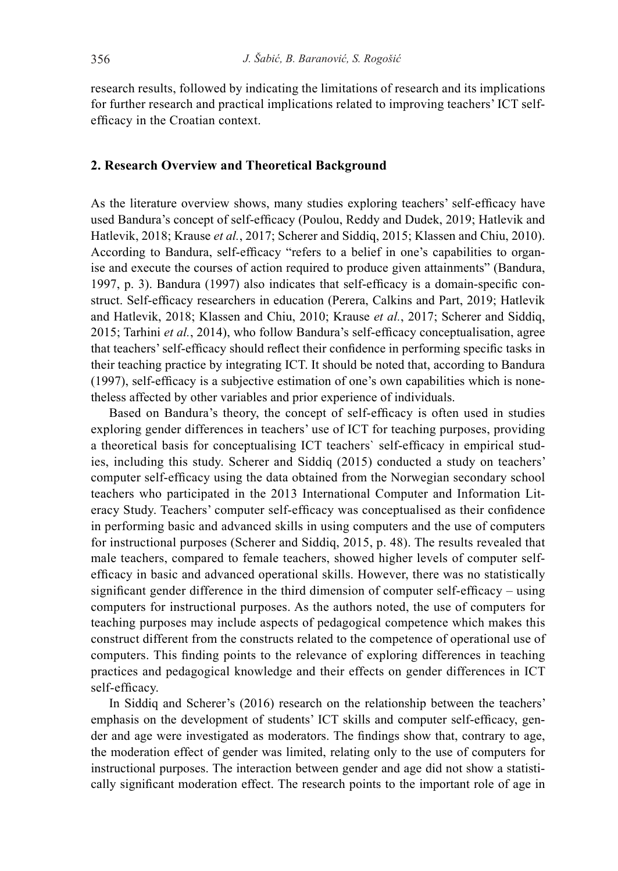research results, followed by indicating the limitations of research and its implications for further research and practical implications related to improving teachers' ICT selfefficacy in the Croatian context.

#### **2. Research Overview and Theoretical Background**

As the literature overview shows, many studies exploring teachers' self-efficacy have used Bandura's concept of self-efficacy (Poulou, Reddy and Dudek, 2019; Hatlevik and Hatlevik, 2018; Krause *et al.*, 2017; Scherer and Siddiq, 2015; Klassen and Chiu, 2010). According to Bandura, self-efficacy "refers to a belief in one's capabilities to organise and execute the courses of action required to produce given attainments" (Bandura, 1997, p. 3). Bandura (1997) also indicates that self-efficacy is a domain-specific construct. Self-efficacy researchers in education (Perera, Calkins and Part, 2019; Hatlevik and Hatlevik, 2018; Klassen and Chiu, 2010; Krause *et al.*, 2017; Scherer and Siddiq, 2015; Tarhini *et al.*, 2014), who follow Bandura's self-efficacy conceptualisation, agree that teachers' self-efficacy should reflect their confidence in performing specific tasks in their teaching practice by integrating ICT. It should be noted that, according to Bandura (1997), self-efficacy is a subjective estimation of one's own capabilities which is nonetheless affected by other variables and prior experience of individuals.

Based on Bandura's theory, the concept of self-efficacy is often used in studies exploring gender differences in teachers' use of ICT for teaching purposes, providing a theoretical basis for conceptualising ICT teachers` self-efficacy in empirical studies, including this study. Scherer and Siddiq (2015) conducted a study on teachers' computer self-efficacy using the data obtained from the Norwegian secondary school teachers who participated in the 2013 International Computer and Information Literacy Study. Teachers' computer self-efficacy was conceptualised as their confidence in performing basic and advanced skills in using computers and the use of computers for instructional purposes (Scherer and Siddiq, 2015, p. 48). The results revealed that male teachers, compared to female teachers, showed higher levels of computer selfefficacy in basic and advanced operational skills. However, there was no statistically significant gender difference in the third dimension of computer self-efficacy – using computers for instructional purposes. As the authors noted, the use of computers for teaching purposes may include aspects of pedagogical competence which makes this construct different from the constructs related to the competence of operational use of computers. This finding points to the relevance of exploring differences in teaching practices and pedagogical knowledge and their effects on gender differences in ICT self-efficacy.

In Siddiq and Scherer's (2016) research on the relationship between the teachers' emphasis on the development of students' ICT skills and computer self-efficacy, gender and age were investigated as moderators. The findings show that, contrary to age, the moderation effect of gender was limited, relating only to the use of computers for instructional purposes. The interaction between gender and age did not show a statistically significant moderation effect. The research points to the important role of age in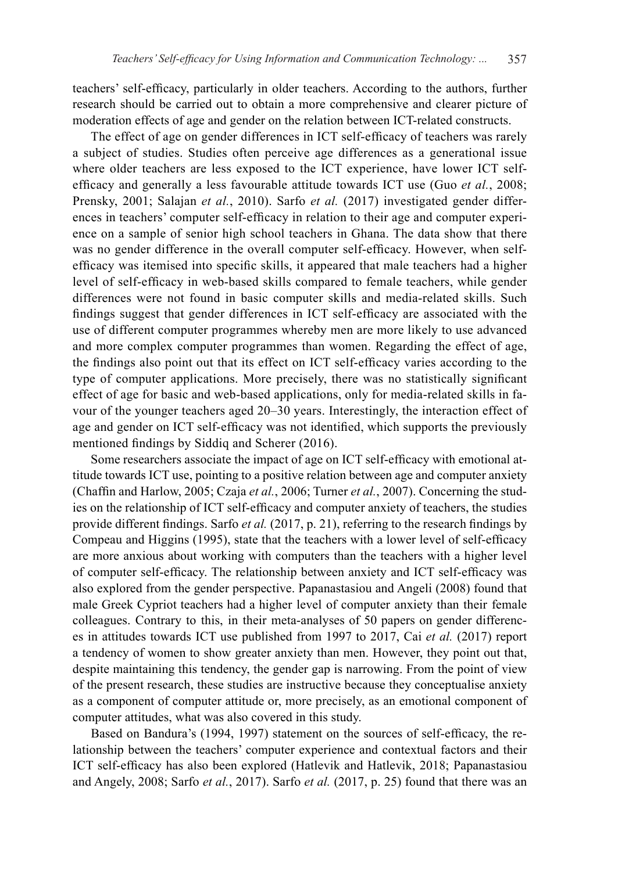teachers' self-efficacy, particularly in older teachers. According to the authors, further research should be carried out to obtain a more comprehensive and clearer picture of moderation effects of age and gender on the relation between ICT-related constructs.

The effect of age on gender differences in ICT self-efficacy of teachers was rarely a subject of studies. Studies often perceive age differences as a generational issue where older teachers are less exposed to the ICT experience, have lower ICT selfefficacy and generally a less favourable attitude towards ICT use (Guo *et al.*, 2008; Prensky, 2001; Salajan *et al.*, 2010). Sarfo *et al.* (2017) investigated gender differences in teachers' computer self-efficacy in relation to their age and computer experience on a sample of senior high school teachers in Ghana. The data show that there was no gender difference in the overall computer self-efficacy. However, when selfefficacy was itemised into specific skills, it appeared that male teachers had a higher level of self-efficacy in web-based skills compared to female teachers, while gender differences were not found in basic computer skills and media-related skills. Such findings suggest that gender differences in ICT self-efficacy are associated with the use of different computer programmes whereby men are more likely to use advanced and more complex computer programmes than women. Regarding the effect of age, the findings also point out that its effect on ICT self-efficacy varies according to the type of computer applications. More precisely, there was no statistically significant effect of age for basic and web-based applications, only for media-related skills in favour of the younger teachers aged 20–30 years. Interestingly, the interaction effect of age and gender on ICT self-efficacy was not identified, which supports the previously mentioned findings by Siddiq and Scherer (2016).

Some researchers associate the impact of age on ICT self-efficacy with emotional attitude towards ICT use, pointing to a positive relation between age and computer anxiety (Chaffin and Harlow, 2005; Czaja *et al.*, 2006; Turner *et al.*, 2007). Concerning the studies on the relationship of ICT self-efficacy and computer anxiety of teachers, the studies provide different findings. Sarfo *et al.* (2017, p. 21), referring to the research findings by Compeau and Higgins (1995), state that the teachers with a lower level of self-efficacy are more anxious about working with computers than the teachers with a higher level of computer self-efficacy. The relationship between anxiety and ICT self-efficacy was also explored from the gender perspective. Papanastasiou and Angeli (2008) found that male Greek Cypriot teachers had a higher level of computer anxiety than their female colleagues. Contrary to this, in their meta-analyses of 50 papers on gender differences in attitudes towards ICT use published from 1997 to 2017, Cai *et al.* (2017) report a tendency of women to show greater anxiety than men. However, they point out that, despite maintaining this tendency, the gender gap is narrowing. From the point of view of the present research, these studies are instructive because they conceptualise anxiety as a component of computer attitude or, more precisely, as an emotional component of computer attitudes, what was also covered in this study.

Based on Bandura's (1994, 1997) statement on the sources of self-efficacy, the relationship between the teachers' computer experience and contextual factors and their ICT self-efficacy has also been explored (Hatlevik and Hatlevik, 2018; Papanastasiou and Angely, 2008; Sarfo *et al.*, 2017). Sarfo *et al.* (2017, p. 25) found that there was an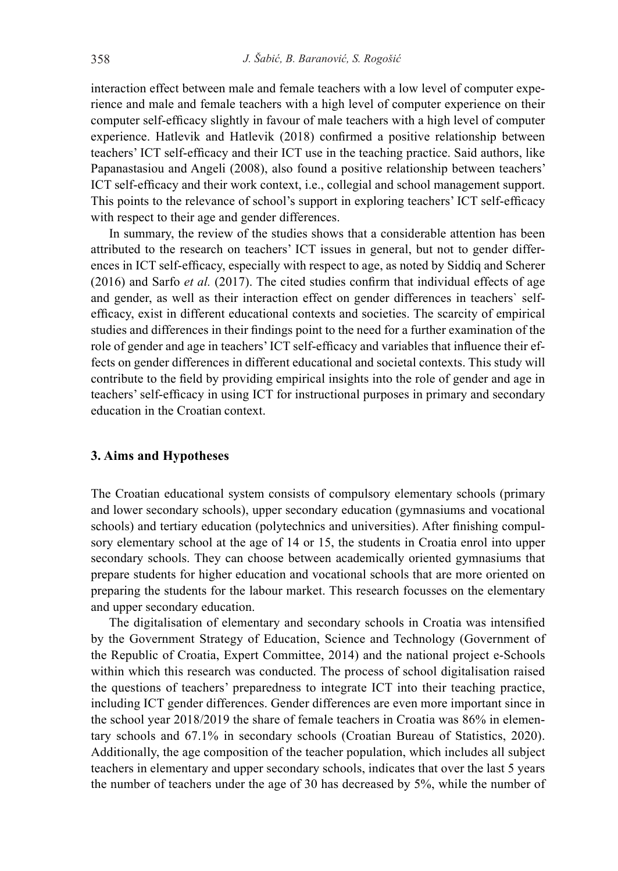interaction effect between male and female teachers with a low level of computer experience and male and female teachers with a high level of computer experience on their computer self-efficacy slightly in favour of male teachers with a high level of computer experience. Hatlevik and Hatlevik (2018) confirmed a positive relationship between teachers' ICT self-efficacy and their ICT use in the teaching practice. Said authors, like Papanastasiou and Angeli (2008), also found a positive relationship between teachers' ICT self-efficacy and their work context, i.e., collegial and school management support. This points to the relevance of school's support in exploring teachers' ICT self-efficacy with respect to their age and gender differences.

In summary, the review of the studies shows that a considerable attention has been attributed to the research on teachers' ICT issues in general, but not to gender differences in ICT self-efficacy, especially with respect to age, as noted by Siddiq and Scherer (2016) and Sarfo *et al.* (2017). The cited studies confirm that individual effects of age and gender, as well as their interaction effect on gender differences in teachers` selfefficacy, exist in different educational contexts and societies. The scarcity of empirical studies and differences in their findings point to the need for a further examination of the role of gender and age in teachers' ICT self-efficacy and variables that influence their effects on gender differences in different educational and societal contexts. This study will contribute to the field by providing empirical insights into the role of gender and age in teachers' self-efficacy in using ICT for instructional purposes in primary and secondary education in the Croatian context.

# **3. Aims and Hypotheses**

The Croatian educational system consists of compulsory elementary schools (primary and lower secondary schools), upper secondary education (gymnasiums and vocational schools) and tertiary education (polytechnics and universities). After finishing compulsory elementary school at the age of 14 or 15, the students in Croatia enrol into upper secondary schools. They can choose between academically oriented gymnasiums that prepare students for higher education and vocational schools that are more oriented on preparing the students for the labour market. This research focusses on the elementary and upper secondary education.

The digitalisation of elementary and secondary schools in Croatia was intensified by the Government Strategy of Education, Science and Technology (Government of the Republic of Croatia, Expert Committee, 2014) and the national project e-Schools within which this research was conducted. The process of school digitalisation raised the questions of teachers' preparedness to integrate ICT into their teaching practice, including ICT gender differences. Gender differences are even more important since in the school year 2018/2019 the share of female teachers in Croatia was 86% in elementary schools and 67.1% in secondary schools (Croatian Bureau of Statistics, 2020). Additionally, the age composition of the teacher population, which includes all subject teachers in elementary and upper secondary schools, indicates that over the last 5 years the number of teachers under the age of 30 has decreased by 5%, while the number of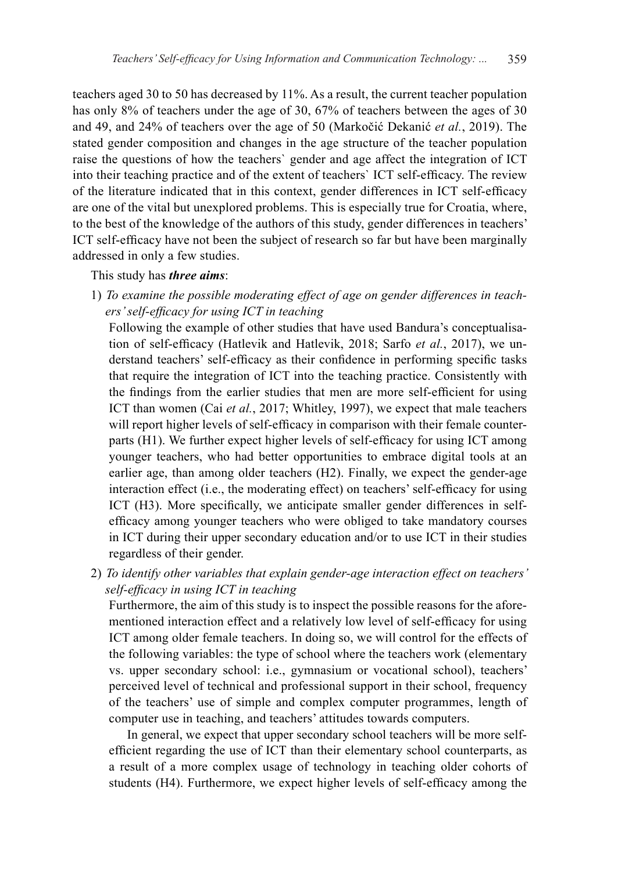teachers aged 30 to 50 has decreased by 11%. As a result, the current teacher population has only 8% of teachers under the age of 30, 67% of teachers between the ages of 30 and 49, and 24% of teachers over the age of 50 (Markočić Dekanić *et al.*, 2019). The stated gender composition and changes in the age structure of the teacher population raise the questions of how the teachers` gender and age affect the integration of ICT into their teaching practice and of the extent of teachers` ICT self-efficacy. The review of the literature indicated that in this context, gender differences in ICT self-efficacy are one of the vital but unexplored problems. This is especially true for Croatia, where, to the best of the knowledge of the authors of this study, gender differences in teachers' ICT self-efficacy have not been the subject of research so far but have been marginally addressed in only a few studies.

This study has *three aims*:

1) *To examine the possible moderating effect of age on gender differences in teachers' self-efficacy for using ICT in teaching*

Following the example of other studies that have used Bandura's conceptualisation of self-efficacy (Hatlevik and Hatlevik, 2018; Sarfo *et al.*, 2017), we understand teachers' self-efficacy as their confidence in performing specific tasks that require the integration of ICT into the teaching practice. Consistently with the findings from the earlier studies that men are more self-efficient for using ICT than women (Cai *et al.*, 2017; Whitley, 1997), we expect that male teachers will report higher levels of self-efficacy in comparison with their female counterparts (H1). We further expect higher levels of self-efficacy for using ICT among younger teachers, who had better opportunities to embrace digital tools at an earlier age, than among older teachers (H2). Finally, we expect the gender-age interaction effect (i.e., the moderating effect) on teachers' self-efficacy for using ICT (H3). More specifically, we anticipate smaller gender differences in selfefficacy among younger teachers who were obliged to take mandatory courses in ICT during their upper secondary education and/or to use ICT in their studies regardless of their gender.

2) *To identify other variables that explain gender-age interaction effect on teachers' self-efficacy in using ICT in teaching*

Furthermore, the aim of this study is to inspect the possible reasons for the aforementioned interaction effect and a relatively low level of self-efficacy for using ICT among older female teachers. In doing so, we will control for the effects of the following variables: the type of school where the teachers work (elementary vs. upper secondary school: i.e., gymnasium or vocational school), teachers' perceived level of technical and professional support in their school, frequency of the teachers' use of simple and complex computer programmes, length of computer use in teaching, and teachers' attitudes towards computers.

In general, we expect that upper secondary school teachers will be more selfefficient regarding the use of ICT than their elementary school counterparts, as a result of a more complex usage of technology in teaching older cohorts of students (H4). Furthermore, we expect higher levels of self-efficacy among the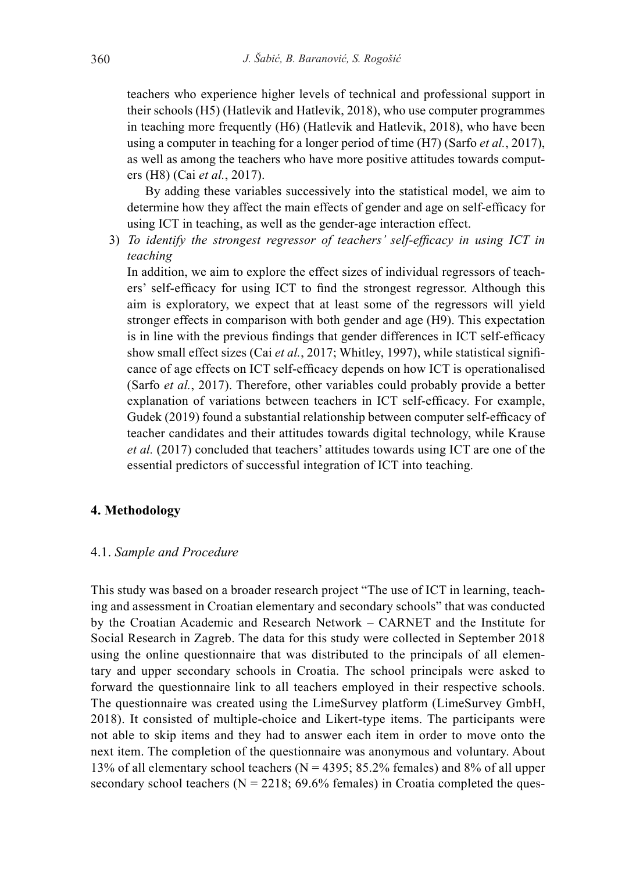teachers who experience higher levels of technical and professional support in their schools (H5) (Hatlevik and Hatlevik, 2018), who use computer programmes in teaching more frequently (H6) (Hatlevik and Hatlevik, 2018), who have been using a computer in teaching for a longer period of time (H7) (Sarfo *et al.*, 2017), as well as among the teachers who have more positive attitudes towards computers (H8) (Cai *et al.*, 2017).

By adding these variables successively into the statistical model, we aim to determine how they affect the main effects of gender and age on self-efficacy for using ICT in teaching, as well as the gender-age interaction effect.

3) *To identify the strongest regressor of teachers' self-efficacy in using ICT in teaching*

In addition, we aim to explore the effect sizes of individual regressors of teachers' self-efficacy for using ICT to find the strongest regressor. Although this aim is exploratory, we expect that at least some of the regressors will yield stronger effects in comparison with both gender and age (H9). This expectation is in line with the previous findings that gender differences in ICT self-efficacy show small effect sizes (Cai *et al.*, 2017; Whitley, 1997), while statistical significance of age effects on ICT self-efficacy depends on how ICT is operationalised (Sarfo *et al.*, 2017). Therefore, other variables could probably provide a better explanation of variations between teachers in ICT self-efficacy. For example, Gudek (2019) found a substantial relationship between computer self-efficacy of teacher candidates and their attitudes towards digital technology, while Krause *et al.* (2017) concluded that teachers' attitudes towards using ICT are one of the essential predictors of successful integration of ICT into teaching.

#### **4. Methodology**

# 4.1. *Sample and Procedure*

This study was based on a broader research project "The use of ICT in learning, teaching and assessment in Croatian elementary and secondary schools" that was conducted by the Croatian Academic and Research Network – CARNET and the Institute for Social Research in Zagreb. The data for this study were collected in September 2018 using the online questionnaire that was distributed to the principals of all elementary and upper secondary schools in Croatia. The school principals were asked to forward the questionnaire link to all teachers employed in their respective schools. The questionnaire was created using the LimeSurvey platform (LimeSurvey GmbH, 2018). It consisted of multiple-choice and Likert-type items. The participants were not able to skip items and they had to answer each item in order to move onto the next item. The completion of the questionnaire was anonymous and voluntary. About 13% of all elementary school teachers ( $N = 4395$ ; 85.2% females) and 8% of all upper secondary school teachers ( $N = 2218$ ; 69.6% females) in Croatia completed the ques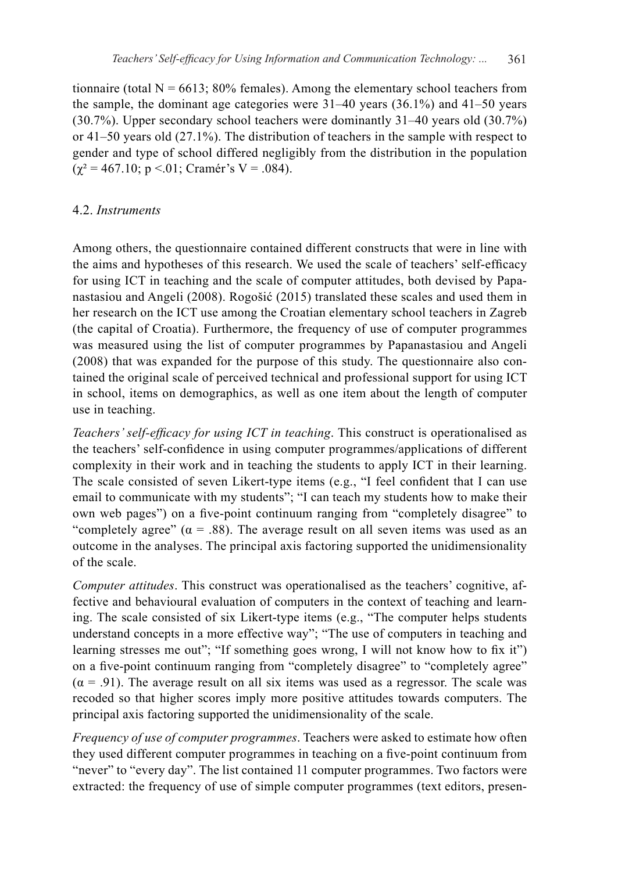tionnaire (total  $N = 6613$ ; 80% females). Among the elementary school teachers from the sample, the dominant age categories were 31–40 years (36.1%) and 41–50 years (30.7%). Upper secondary school teachers were dominantly 31–40 years old (30.7%) or 41–50 years old (27.1%). The distribution of teachers in the sample with respect to gender and type of school differed negligibly from the distribution in the population  $(\chi^2 = 467.10; \, \text{p} < 0.01; \, \text{Cramér's V} = 0.084).$ 

# 4.2. *Instruments*

Among others, the questionnaire contained different constructs that were in line with the aims and hypotheses of this research. We used the scale of teachers' self-efficacy for using ICT in teaching and the scale of computer attitudes, both devised by Papanastasiou and Angeli (2008). Rogošić (2015) translated these scales and used them in her research on the ICT use among the Croatian elementary school teachers in Zagreb (the capital of Croatia). Furthermore, the frequency of use of computer programmes was measured using the list of computer programmes by Papanastasiou and Angeli (2008) that was expanded for the purpose of this study. The questionnaire also contained the original scale of perceived technical and professional support for using ICT in school, items on demographics, as well as one item about the length of computer use in teaching.

*Teachers' self-efficacy for using ICT in teaching*. This construct is operationalised as the teachers' self-confidence in using computer programmes/applications of different complexity in their work and in teaching the students to apply ICT in their learning. The scale consisted of seven Likert-type items (e.g., "I feel confident that I can use email to communicate with my students"; "I can teach my students how to make their own web pages") on a five-point continuum ranging from "completely disagree" to "completely agree" ( $\alpha$  = .88). The average result on all seven items was used as an outcome in the analyses. The principal axis factoring supported the unidimensionality of the scale.

*Computer attitudes*. This construct was operationalised as the teachers' cognitive, affective and behavioural evaluation of computers in the context of teaching and learning. The scale consisted of six Likert-type items (e.g., "The computer helps students understand concepts in a more effective way"; "The use of computers in teaching and learning stresses me out"; "If something goes wrong, I will not know how to fix it") on a five-point continuum ranging from "completely disagree" to "completely agree"  $(\alpha = .91)$ . The average result on all six items was used as a regressor. The scale was recoded so that higher scores imply more positive attitudes towards computers. The principal axis factoring supported the unidimensionality of the scale.

*Frequency of use of computer programmes*. Teachers were asked to estimate how often they used different computer programmes in teaching on a five-point continuum from "never" to "every day". The list contained 11 computer programmes. Two factors were extracted: the frequency of use of simple computer programmes (text editors, presen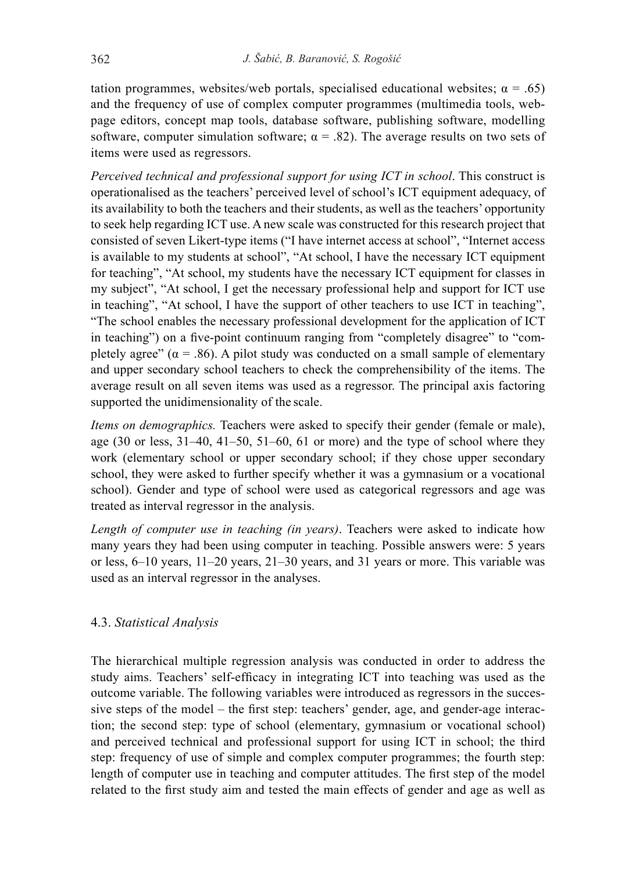tation programmes, websites/web portals, specialised educational websites;  $\alpha = .65$ ) and the frequency of use of complex computer programmes (multimedia tools, webpage editors, concept map tools, database software, publishing software, modelling software, computer simulation software;  $\alpha = .82$ ). The average results on two sets of items were used as regressors.

*Perceived technical and professional support for using ICT in school*. This construct is operationalised as the teachers' perceived level of school's ICT equipment adequacy, of its availability to both the teachers and their students, as well as the teachers' opportunity to seek help regarding ICT use. A new scale was constructed for this research project that consisted of seven Likert-type items ("I have internet access at school", "Internet access is available to my students at school", "At school, I have the necessary ICT equipment for teaching", "At school, my students have the necessary ICT equipment for classes in my subject", "At school, I get the necessary professional help and support for ICT use in teaching", "At school, I have the support of other teachers to use ICT in teaching", "The school enables the necessary professional development for the application of ICT in teaching") on a five-point continuum ranging from "completely disagree" to "completely agree"  $(\alpha = .86)$ . A pilot study was conducted on a small sample of elementary and upper secondary school teachers to check the comprehensibility of the items. The average result on all seven items was used as a regressor. The principal axis factoring supported the unidimensionality of the scale.

*Items on demographics.* Teachers were asked to specify their gender (female or male), age (30 or less, 31–40, 41–50, 51–60, 61 or more) and the type of school where they work (elementary school or upper secondary school; if they chose upper secondary school, they were asked to further specify whether it was a gymnasium or a vocational school). Gender and type of school were used as categorical regressors and age was treated as interval regressor in the analysis.

*Length of computer use in teaching (in years)*. Teachers were asked to indicate how many years they had been using computer in teaching. Possible answers were: 5 years or less, 6–10 years, 11–20 years, 21–30 years, and 31 years or more. This variable was used as an interval regressor in the analyses.

# 4.3. *Statistical Analysis*

The hierarchical multiple regression analysis was conducted in order to address the study aims. Teachers' self-efficacy in integrating ICT into teaching was used as the outcome variable. The following variables were introduced as regressors in the successive steps of the model – the first step: teachers' gender, age, and gender-age interaction; the second step: type of school (elementary, gymnasium or vocational school) and perceived technical and professional support for using ICT in school; the third step: frequency of use of simple and complex computer programmes; the fourth step: length of computer use in teaching and computer attitudes. The first step of the model related to the first study aim and tested the main effects of gender and age as well as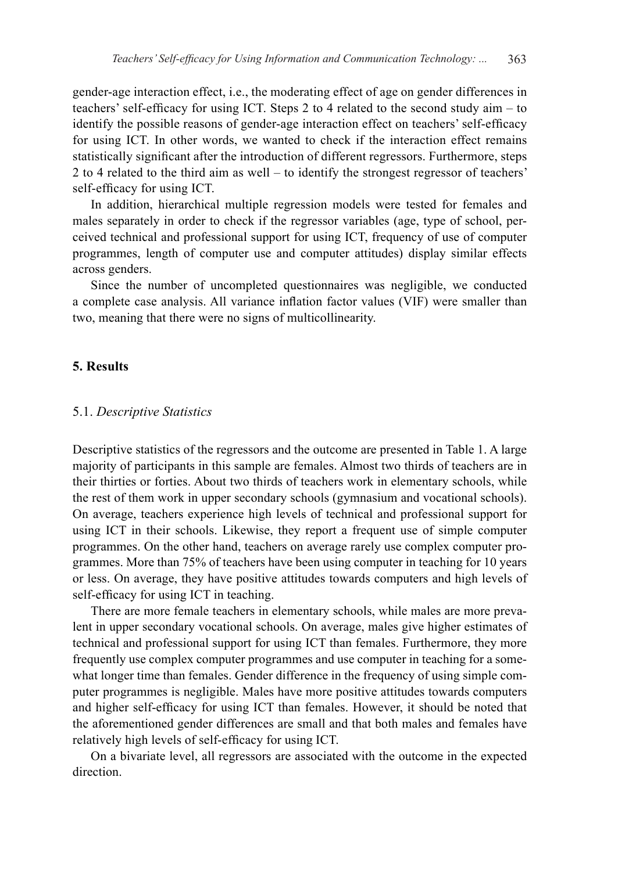gender-age interaction effect, i.e., the moderating effect of age on gender differences in teachers' self-efficacy for using ICT. Steps 2 to 4 related to the second study aim – to identify the possible reasons of gender-age interaction effect on teachers' self-efficacy for using ICT. In other words, we wanted to check if the interaction effect remains statistically significant after the introduction of different regressors. Furthermore, steps 2 to 4 related to the third aim as well – to identify the strongest regressor of teachers' self-efficacy for using ICT.

In addition, hierarchical multiple regression models were tested for females and males separately in order to check if the regressor variables (age, type of school, perceived technical and professional support for using ICT, frequency of use of computer programmes, length of computer use and computer attitudes) display similar effects across genders.

Since the number of uncompleted questionnaires was negligible, we conducted a complete case analysis. All variance inflation factor values (VIF) were smaller than two, meaning that there were no signs of multicollinearity.

#### **5. Results**

#### 5.1. *Descriptive Statistics*

Descriptive statistics of the regressors and the outcome are presented in Table 1. A large majority of participants in this sample are females. Almost two thirds of teachers are in their thirties or forties. About two thirds of teachers work in elementary schools, while the rest of them work in upper secondary schools (gymnasium and vocational schools). On average, teachers experience high levels of technical and professional support for using ICT in their schools. Likewise, they report a frequent use of simple computer programmes. On the other hand, teachers on average rarely use complex computer programmes. More than 75% of teachers have been using computer in teaching for 10 years or less. On average, they have positive attitudes towards computers and high levels of self-efficacy for using ICT in teaching.

There are more female teachers in elementary schools, while males are more prevalent in upper secondary vocational schools. On average, males give higher estimates of technical and professional support for using ICT than females. Furthermore, they more frequently use complex computer programmes and use computer in teaching for a somewhat longer time than females. Gender difference in the frequency of using simple computer programmes is negligible. Males have more positive attitudes towards computers and higher self-efficacy for using ICT than females. However, it should be noted that the aforementioned gender differences are small and that both males and females have relatively high levels of self-efficacy for using ICT.

On a bivariate level, all regressors are associated with the outcome in the expected direction.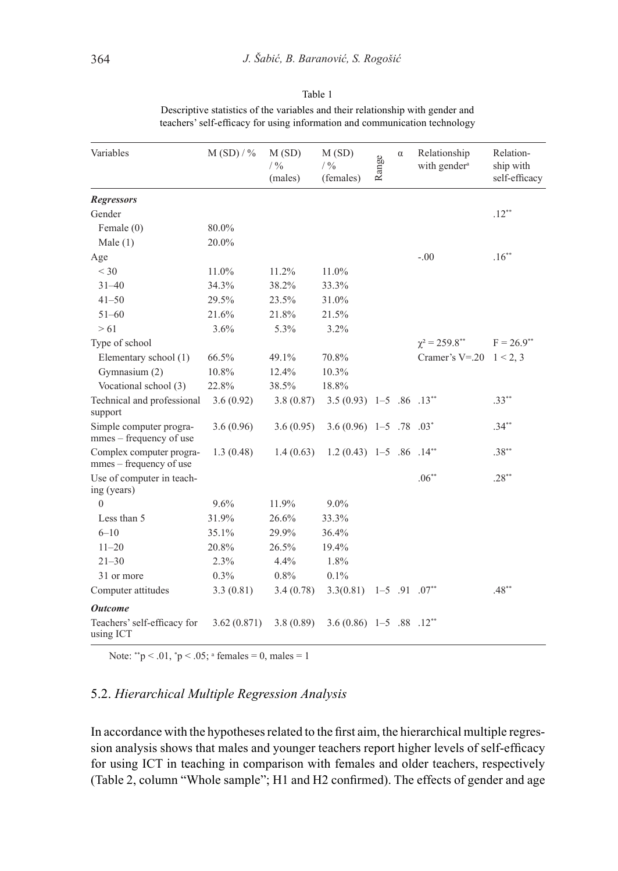|                            |            |                                     |                                       |       |          | teachers' self-efficacy for using information and communication technology |                                         |
|----------------------------|------------|-------------------------------------|---------------------------------------|-------|----------|----------------------------------------------------------------------------|-----------------------------------------|
| Variables                  | $M(SD)/\%$ | M(SD)<br>$/ \frac{9}{6}$<br>(males) | M(SD)<br>$/ \frac{9}{6}$<br>(females) | Range | $\alpha$ | Relationship<br>with gender <sup>a</sup>                                   | Relation-<br>ship with<br>self-efficacy |
| <b>Regressors</b>          |            |                                     |                                       |       |          |                                                                            |                                         |
| Gender                     |            |                                     |                                       |       |          |                                                                            | $.12***$                                |
| Female $(0)$               | 80.0%      |                                     |                                       |       |          |                                                                            |                                         |
| Male $(1)$                 | 20.0%      |                                     |                                       |       |          |                                                                            |                                         |
| Age                        |            |                                     |                                       |       |          | $-.00$                                                                     | $.16***$                                |
| $<$ 30                     | 11.0%      | 11.2%                               | 11.0%                                 |       |          |                                                                            |                                         |
| $31 - 40$                  | 34.3%      | 38.2%                               | 33.3%                                 |       |          |                                                                            |                                         |
| $41 - 50$                  | 29.5%      | 23.5%                               | 31.0%                                 |       |          |                                                                            |                                         |
| $51 - 60$                  | 21.6%      | 21.8%                               | 21.5%                                 |       |          |                                                                            |                                         |
| > 61                       | $3.6\%$    | $5.3\%$                             | 3.2%                                  |       |          |                                                                            |                                         |
| Type of school             |            |                                     |                                       |       |          | $\gamma^2 = 259.8^{**}$                                                    | $F = 26.9$ **                           |
| Elementary school (1)      | 66.5%      | 49.1%                               | 70.8%                                 |       |          | Cramer's V=.20 $1 < 2, 3$                                                  |                                         |
| Gymnasium (2)              | 10.8%      | 12.4%                               | 10.3%                                 |       |          |                                                                            |                                         |
| Vocational school (3)      | 22.8%      | 38.5%                               | 18.8%                                 |       |          |                                                                            |                                         |
| Technical and professional | 3.6(0.92)  | 3.8(0.87)                           | $3.5(0.93)$ 1-5 .86 .13 <sup>**</sup> |       |          |                                                                            | $.33***$                                |

| Table 1                                                                        |
|--------------------------------------------------------------------------------|
| Descriptive statistics of the variables and their relationship with gender and |
| teachers' self-efficacy for using information and communication technology     |

support Simple computer programmes – frequency of use  $3.6(0.96)$   $3.6(0.95)$   $3.6(0.96)$   $1-5$   $.78$   $.03^*$   $.34^{**}$ Complex computer programmes – frequency of use  $1.3(0.48)$   $1.4(0.63)$   $1.2(0.43)$   $1-5$   $.86$   $.14^{**}$   $.38^{**}$ Use of computer in teaching (years)  $.06^{**}$  .28\*\* 0 9.6% 11.9% 9.0% Less than 5 31.9% 26.6% 33.3% 6–10 35.1% 29.9% 36.4% 11–20 20.8% 26.5% 19.4% 21–30 2.3% 4.4% 1.8% 31 or more 0.3% 0.8% 0.1% Computer attitudes 3.3 (0.81) 3.4 (0.78) 3.3 (0.81) 1-5 .91 .07\*\* *Outcome* Teachers' self-efficacy for using ICT 3.62 (0.871) 3.8 (0.89) 3.6 (0.86) 1–5 .88 .12\*\*

Note:  $\degree$  p < .01,  $\degree$  p < .05;  $\degree$  females = 0, males = 1

# 5.2. *Hierarchical Multiple Regression Analysis*

In accordance with the hypotheses related to the first aim, the hierarchical multiple regression analysis shows that males and younger teachers report higher levels of self-efficacy for using ICT in teaching in comparison with females and older teachers, respectively (Table 2, column "Whole sample"; H1 and H2 confirmed). The effects of gender and age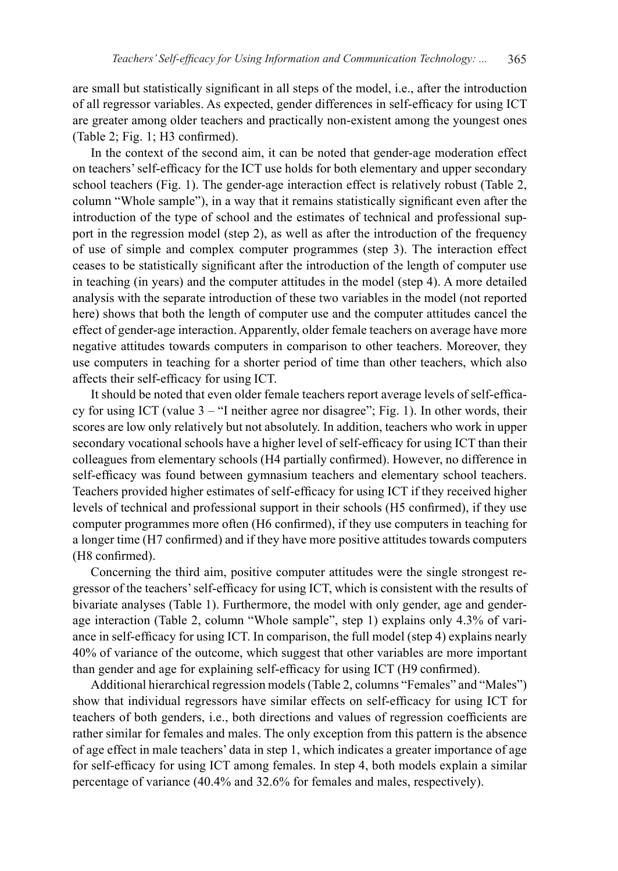are small but statistically significant in all steps of the model, i.e., after the introduction of all regressor variables. As expected, gender differences in self-efficacy for using ICT are greater among older teachers and practically non-existent among the youngest ones (Table 2; Fig. 1; H3 confirmed).

In the context of the second aim, it can be noted that gender-age moderation effect on teachers' self-efficacy for the ICT use holds for both elementary and upper secondary school teachers (Fig. 1). The gender-age interaction effect is relatively robust (Table 2, column "Whole sample"), in a way that it remains statistically significant even after the introduction of the type of school and the estimates of technical and professional support in the regression model (step 2), as well as after the introduction of the frequency of use of simple and complex computer programmes (step 3). The interaction effect ceases to be statistically significant after the introduction of the length of computer use in teaching (in years) and the computer attitudes in the model (step 4). A more detailed analysis with the separate introduction of these two variables in the model (not reported here) shows that both the length of computer use and the computer attitudes cancel the effect of gender-age interaction. Apparently, older female teachers on average have more negative attitudes towards computers in comparison to other teachers. Moreover, they use computers in teaching for a shorter period of time than other teachers, which also affects their self-efficacy for using ICT.

It should be noted that even older female teachers report average levels of self-efficacy for using ICT (value 3 – "I neither agree nor disagree"; Fig. 1). In other words, their scores are low only relatively but not absolutely. In addition, teachers who work in upper secondary vocational schools have a higher level of self-efficacy for using ICT than their colleagues from elementary schools (H4 partially confirmed). However, no difference in self-efficacy was found between gymnasium teachers and elementary school teachers. Teachers provided higher estimates of self-efficacy for using ICT if they received higher levels of technical and professional support in their schools (H5 confirmed), if they use computer programmes more often (H6 confirmed), if they use computers in teaching for a longer time (H7 confirmed) and if they have more positive attitudes towards computers (H8 confirmed).

Concerning the third aim, positive computer attitudes were the single strongest regressor of the teachers' self-efficacy for using ICT, which is consistent with the results of bivariate analyses (Table 1). Furthermore, the model with only gender, age and genderage interaction (Table 2, column "Whole sample", step 1) explains only 4.3% of variance in self-efficacy for using ICT. In comparison, the full model (step 4) explains nearly 40% of variance of the outcome, which suggest that other variables are more important than gender and age for explaining self-efficacy for using ICT (H9 confirmed).

Additional hierarchical regression models (Table 2, columns "Females" and "Males") show that individual regressors have similar effects on self-efficacy for using ICT for teachers of both genders, i.e., both directions and values of regression coefficients are rather similar for females and males. The only exception from this pattern is the absence of age effect in male teachers' data in step 1, which indicates a greater importance of age for self-efficacy for using ICT among females. In step 4, both models explain a similar percentage of variance (40.4% and 32.6% for females and males, respectively).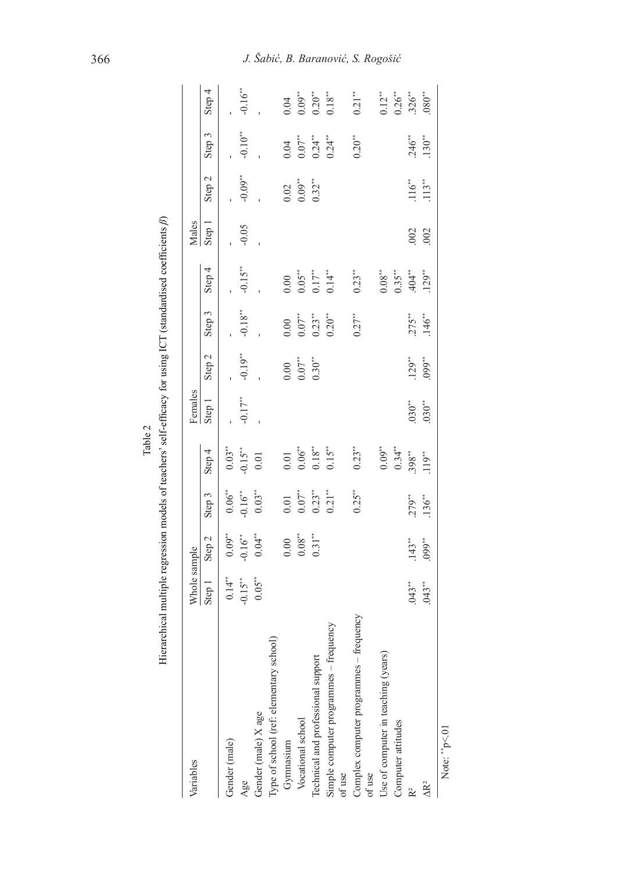| Variables                                                 | Whole sample |                   |           |                        | Females               |           |            |                                | Males   |                   |           |                        |
|-----------------------------------------------------------|--------------|-------------------|-----------|------------------------|-----------------------|-----------|------------|--------------------------------|---------|-------------------|-----------|------------------------|
|                                                           | Step 1       | Step <sub>2</sub> | Step 3    | Step 4                 | Step 1                | Step 2    | Step 3     | Step 4                         | Step 1  | Step <sub>2</sub> | Step 3    | Step 4                 |
| Gender (male)                                             | 0.14"        | $0.09***$         | $0.06***$ | $0.03***$              |                       |           |            |                                |         |                   |           |                        |
| Age                                                       | $-0.15***$   | $-0.16"$          | $-0.16**$ | $-0.15***$             | $-0.17$ <sup>**</sup> | $-0.19**$ | $-0.18***$ | $-0.15***$                     | $-0.05$ | $-0.09***$        | $-0.10**$ | $-0.16**$              |
| Gender (male) X age                                       | $0.05***$    | $0.04**$          | $0.03***$ | 0.01                   |                       |           |            |                                |         |                   |           |                        |
| Type of school (ref: elementary school)                   |              |                   |           |                        |                       |           |            |                                |         |                   |           |                        |
| Gymnasium                                                 |              | 0.00              | 0.01      | 0.01                   |                       | 0.00      | 0.00       | 0.00                           |         | 0.02              | 0.04      | 0.04                   |
| Vocational school                                         |              | $0.08\sp{''}$     | $0.07***$ | $0.06\sp{''}$          |                       | $0.07$ ** | $0.07***$  | $0.05**$                       |         | $0.09***$         | $0.07**$  | $0.09**$               |
| Technical and professional support                        |              | $0.31***$         | $0.23***$ | $0.18^{\ast\ast}$      |                       | $0.30**$  | $0.23***$  | $0.17***$                      |         | $0.32***$         | $0.24***$ | $0.20**$               |
| Simple computer programmes - frequency<br>of use          |              |                   | $0.21***$ | $0.15***$              |                       |           | $0.20***$  | $0.14***$                      |         |                   | $0.24***$ | $0.18^{\ast\ast}$      |
| frequency<br>Complex computer programmes-<br>of use       |              |                   | $0.25***$ | $0.23***$              |                       |           | $0.27***$  | $0.23***$                      |         |                   | $0.20***$ | $0.21***$              |
| Jse of computer in teaching (years)<br>Computer attitudes |              |                   |           | $0.34***$<br>$0.09***$ |                       |           |            | $0.35***$<br>$0.08^{\ast\ast}$ |         |                   |           | $0.26***$<br>$0.12***$ |
|                                                           | $.043**$     | $.143**$          | .279**    | $.398***$              | $.030**$              | $.129***$ | $.275**$   | .404                           | .002    | .116              | .246"     | $326***$               |
| ΔR <sup>2</sup>                                           | $.043**$     | .099**            | $.136***$ | 119"                   | $.030**$              | $.099***$ | .146       | $129***$                       | 002     | $.113**$          | $.130**$  | 080"                   |
|                                                           |              |                   |           |                        |                       |           |            |                                |         |                   |           |                        |

Table 2<br>Hierarchical multiple regression models of teachers' self-efficacy for using ICT (standardised coefficients *β*)  $\ddot{\phantom{a}}$ ्  $\overline{a}$ ٠.  $\ddot{\phantom{a}}$  $TCT$  (ata  $\ddot{\phantom{a}}$  $\ddot{ }$ ्में Table 2  $2$  and  $\epsilon$ .  $\overline{\phantom{a}}$  $\ddot{\cdot}$  $\frac{1}{4}$  $\ddot{\phantom{0}}$  $\frac{1}{2}$ ÷ د.<br>م É

> Note: "p<.01 Note: "p<.01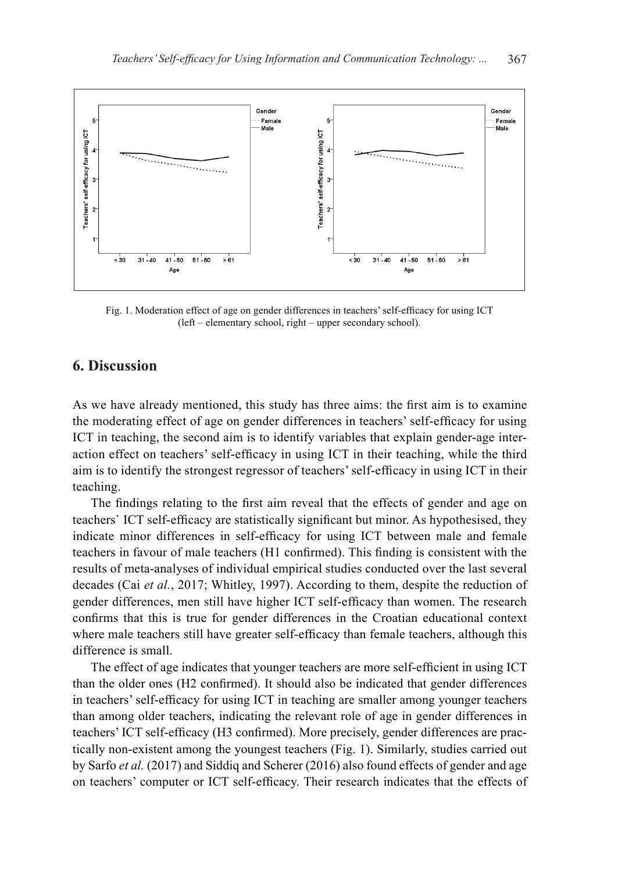

Fig. 1. Moderation effect of age on gender differences in teachers' self-efficacy for using ICT (left – elementary school, right – upper secondary school).

# **6. Discussion**

As we have already mentioned, this study has three aims: the first aim is to examine the moderating effect of age on gender differences in teachers' self-efficacy for using ICT in teaching, the second aim is to identify variables that explain gender-age interaction effect on teachers' self-efficacy in using ICT in their teaching, while the third aim is to identify the strongest regressor of teachers' self-efficacy in using ICT in their teaching.

The findings relating to the first aim reveal that the effects of gender and age on teachers` ICT self-efficacy are statistically significant but minor. As hypothesised, they indicate minor differences in self-efficacy for using ICT between male and female teachers in favour of male teachers (H1 confirmed). This finding is consistent with the results of meta-analyses of individual empirical studies conducted over the last several decades (Cai *et al.*, 2017; Whitley, 1997). According to them, despite the reduction of gender differences, men still have higher ICT self-efficacy than women. The research confirms that this is true for gender differences in the Croatian educational context where male teachers still have greater self-efficacy than female teachers, although this difference is small.

The effect of age indicates that younger teachers are more self-efficient in using ICT than the older ones (H2 confirmed). It should also be indicated that gender differences in teachers' self-efficacy for using ICT in teaching are smaller among younger teachers than among older teachers, indicating the relevant role of age in gender differences in teachers' ICT self-efficacy (H3 confirmed). More precisely, gender differences are practically non-existent among the youngest teachers (Fig. 1). Similarly, studies carried out by Sarfo *et al.* (2017) and Siddiq and Scherer (2016) also found effects of gender and age on teachers' computer or ICT self-efficacy. Their research indicates that the effects of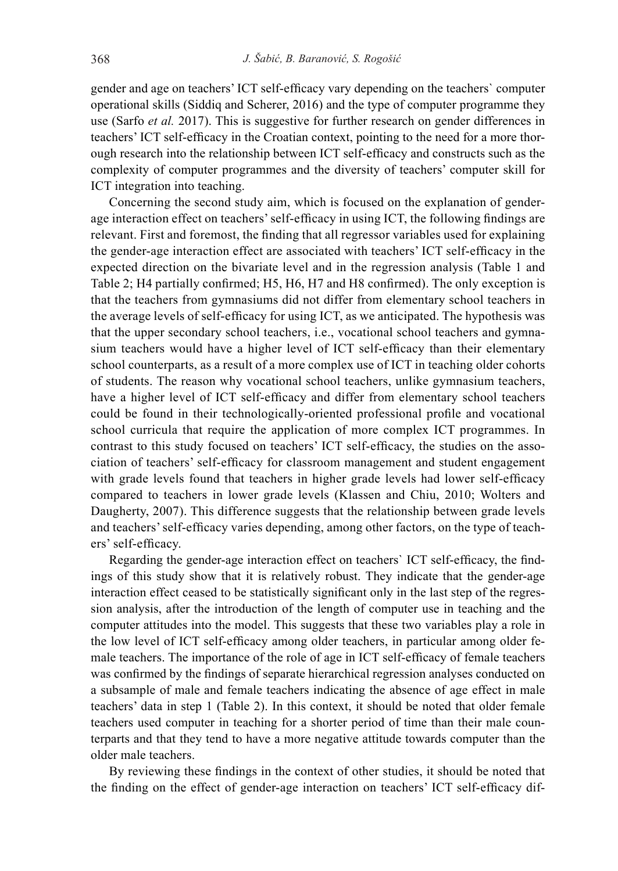gender and age on teachers' ICT self-efficacy vary depending on the teachers` computer operational skills (Siddiq and Scherer, 2016) and the type of computer programme they use (Sarfo *et al.* 2017). This is suggestive for further research on gender differences in teachers' ICT self-efficacy in the Croatian context, pointing to the need for a more thorough research into the relationship between ICT self-efficacy and constructs such as the complexity of computer programmes and the diversity of teachers' computer skill for ICT integration into teaching.

Concerning the second study aim, which is focused on the explanation of genderage interaction effect on teachers' self-efficacy in using ICT, the following findings are relevant. First and foremost, the finding that all regressor variables used for explaining the gender-age interaction effect are associated with teachers' ICT self-efficacy in the expected direction on the bivariate level and in the regression analysis (Table 1 and Table 2; H4 partially confirmed; H5, H6, H7 and H8 confirmed). The only exception is that the teachers from gymnasiums did not differ from elementary school teachers in the average levels of self-efficacy for using ICT, as we anticipated. The hypothesis was that the upper secondary school teachers, i.e., vocational school teachers and gymnasium teachers would have a higher level of ICT self-efficacy than their elementary school counterparts, as a result of a more complex use of ICT in teaching older cohorts of students. The reason why vocational school teachers, unlike gymnasium teachers, have a higher level of ICT self-efficacy and differ from elementary school teachers could be found in their technologically-oriented professional profile and vocational school curricula that require the application of more complex ICT programmes. In contrast to this study focused on teachers' ICT self-efficacy, the studies on the association of teachers' self-efficacy for classroom management and student engagement with grade levels found that teachers in higher grade levels had lower self-efficacy compared to teachers in lower grade levels (Klassen and Chiu, 2010; Wolters and Daugherty, 2007). This difference suggests that the relationship between grade levels and teachers' self-efficacy varies depending, among other factors, on the type of teachers' self-efficacy.

Regarding the gender-age interaction effect on teachers` ICT self-efficacy, the findings of this study show that it is relatively robust. They indicate that the gender-age interaction effect ceased to be statistically significant only in the last step of the regression analysis, after the introduction of the length of computer use in teaching and the computer attitudes into the model. This suggests that these two variables play a role in the low level of ICT self-efficacy among older teachers, in particular among older female teachers. The importance of the role of age in ICT self-efficacy of female teachers was confirmed by the findings of separate hierarchical regression analyses conducted on a subsample of male and female teachers indicating the absence of age effect in male teachers' data in step 1 (Table 2). In this context, it should be noted that older female teachers used computer in teaching for a shorter period of time than their male counterparts and that they tend to have a more negative attitude towards computer than the older male teachers.

By reviewing these findings in the context of other studies, it should be noted that the finding on the effect of gender-age interaction on teachers' ICT self-efficacy dif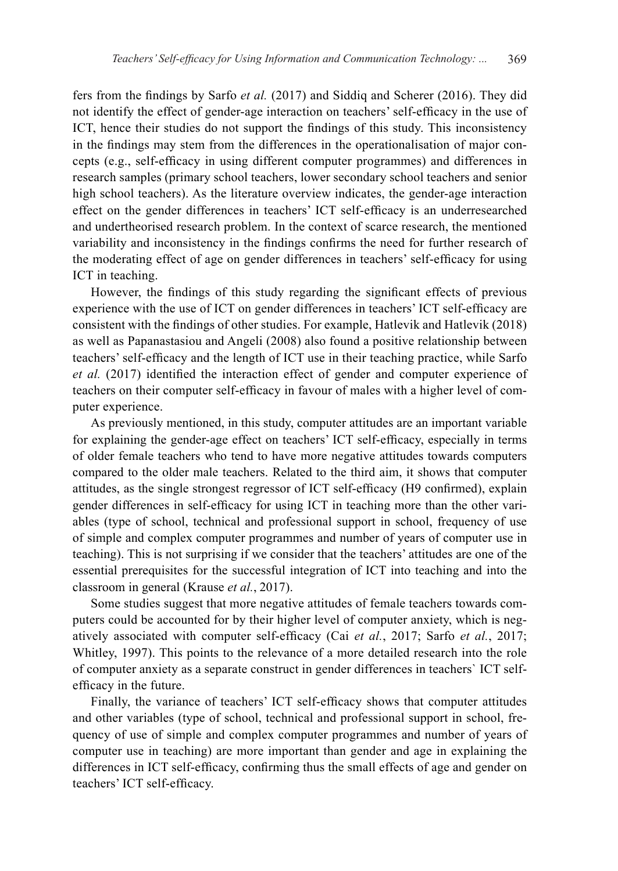fers from the findings by Sarfo *et al.* (2017) and Siddiq and Scherer (2016). They did not identify the effect of gender-age interaction on teachers' self-efficacy in the use of ICT, hence their studies do not support the findings of this study. This inconsistency in the findings may stem from the differences in the operationalisation of major concepts (e.g., self-efficacy in using different computer programmes) and differences in research samples (primary school teachers, lower secondary school teachers and senior high school teachers). As the literature overview indicates, the gender-age interaction effect on the gender differences in teachers' ICT self-efficacy is an underresearched and undertheorised research problem. In the context of scarce research, the mentioned variability and inconsistency in the findings confirms the need for further research of the moderating effect of age on gender differences in teachers' self-efficacy for using ICT in teaching.

However, the findings of this study regarding the significant effects of previous experience with the use of ICT on gender differences in teachers' ICT self-efficacy are consistent with the findings of other studies. For example, Hatlevik and Hatlevik (2018) as well as Papanastasiou and Angeli (2008) also found a positive relationship between teachers' self-efficacy and the length of ICT use in their teaching practice, while Sarfo *et al.* (2017) identified the interaction effect of gender and computer experience of teachers on their computer self-efficacy in favour of males with a higher level of computer experience.

As previously mentioned, in this study, computer attitudes are an important variable for explaining the gender-age effect on teachers' ICT self-efficacy, especially in terms of older female teachers who tend to have more negative attitudes towards computers compared to the older male teachers. Related to the third aim, it shows that computer attitudes, as the single strongest regressor of ICT self-efficacy (H9 confirmed), explain gender differences in self-efficacy for using ICT in teaching more than the other variables (type of school, technical and professional support in school, frequency of use of simple and complex computer programmes and number of years of computer use in teaching). This is not surprising if we consider that the teachers' attitudes are one of the essential prerequisites for the successful integration of ICT into teaching and into the classroom in general (Krause *et al.*, 2017).

Some studies suggest that more negative attitudes of female teachers towards computers could be accounted for by their higher level of computer anxiety, which is negatively associated with computer self-efficacy (Cai *et al.*, 2017; Sarfo *et al.*, 2017; Whitley, 1997). This points to the relevance of a more detailed research into the role of computer anxiety as a separate construct in gender differences in teachers` ICT selfefficacy in the future.

Finally, the variance of teachers' ICT self-efficacy shows that computer attitudes and other variables (type of school, technical and professional support in school, frequency of use of simple and complex computer programmes and number of years of computer use in teaching) are more important than gender and age in explaining the differences in ICT self-efficacy, confirming thus the small effects of age and gender on teachers' ICT self-efficacy.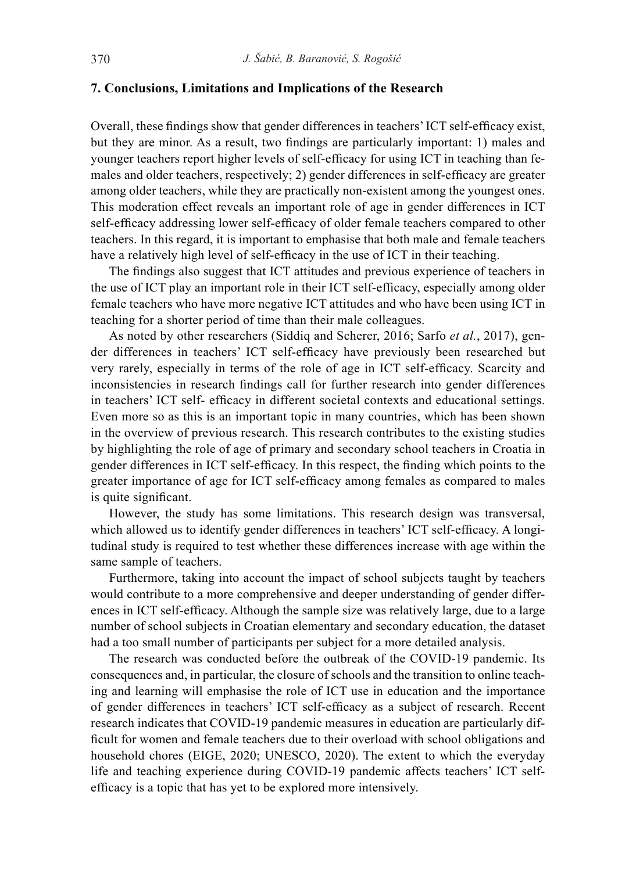#### **7. Conclusions, Limitations and Implications of the Research**

Overall, these findings show that gender differences in teachers' ICT self-efficacy exist, but they are minor. As a result, two findings are particularly important: 1) males and younger teachers report higher levels of self-efficacy for using ICT in teaching than females and older teachers, respectively; 2) gender differences in self-efficacy are greater among older teachers, while they are practically non-existent among the youngest ones. This moderation effect reveals an important role of age in gender differences in ICT self-efficacy addressing lower self-efficacy of older female teachers compared to other teachers. In this regard, it is important to emphasise that both male and female teachers have a relatively high level of self-efficacy in the use of ICT in their teaching.

The findings also suggest that ICT attitudes and previous experience of teachers in the use of ICT play an important role in their ICT self-efficacy, especially among older female teachers who have more negative ICT attitudes and who have been using ICT in teaching for a shorter period of time than their male colleagues.

As noted by other researchers (Siddiq and Scherer, 2016; Sarfo *et al.*, 2017), gender differences in teachers' ICT self-efficacy have previously been researched but very rarely, especially in terms of the role of age in ICT self-efficacy. Scarcity and inconsistencies in research findings call for further research into gender differences in teachers' ICT self- efficacy in different societal contexts and educational settings. Even more so as this is an important topic in many countries, which has been shown in the overview of previous research. This research contributes to the existing studies by highlighting the role of age of primary and secondary school teachers in Croatia in gender differences in ICT self-efficacy. In this respect, the finding which points to the greater importance of age for ICT self-efficacy among females as compared to males is quite significant.

However, the study has some limitations. This research design was transversal, which allowed us to identify gender differences in teachers' ICT self-efficacy. A longitudinal study is required to test whether these differences increase with age within the same sample of teachers.

Furthermore, taking into account the impact of school subjects taught by teachers would contribute to a more comprehensive and deeper understanding of gender differences in ICT self-efficacy. Although the sample size was relatively large, due to a large number of school subjects in Croatian elementary and secondary education, the dataset had a too small number of participants per subject for a more detailed analysis.

The research was conducted before the outbreak of the COVID-19 pandemic. Its consequences and, in particular, the closure of schools and the transition to online teaching and learning will emphasise the role of ICT use in education and the importance of gender differences in teachers' ICT self-efficacy as a subject of research. Recent research indicates that COVID-19 pandemic measures in education are particularly difficult for women and female teachers due to their overload with school obligations and household chores (EIGE, 2020; UNESCO, 2020). The extent to which the everyday life and teaching experience during COVID-19 pandemic affects teachers' ICT selfefficacy is a topic that has yet to be explored more intensively.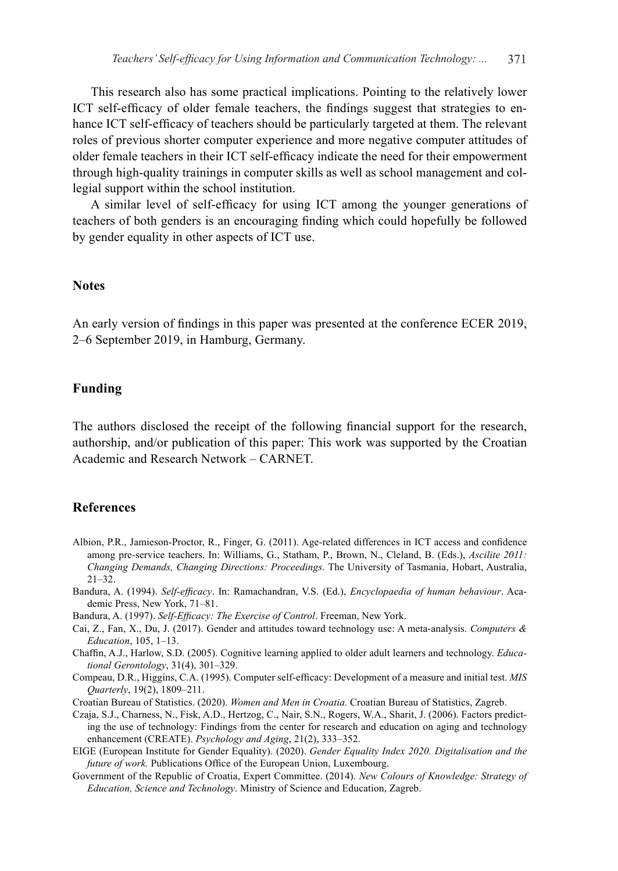This research also has some practical implications. Pointing to the relatively lower ICT self-efficacy of older female teachers, the findings suggest that strategies to enhance ICT self-efficacy of teachers should be particularly targeted at them. The relevant roles of previous shorter computer experience and more negative computer attitudes of older female teachers in their ICT self-efficacy indicate the need for their empowerment through high-quality trainings in computer skills as well as school management and collegial support within the school institution.

A similar level of self-efficacy for using ICT among the younger generations of teachers of both genders is an encouraging finding which could hopefully be followed by gender equality in other aspects of ICT use.

#### **Notes**

An early version of findings in this paper was presented at the conference ECER 2019, 2–6 September 2019, in Hamburg, Germany.

# **Funding**

The authors disclosed the receipt of the following financial support for the research, authorship, and/or publication of this paper: This work was supported by the Croatian Academic and Research Network – CARNET.

# **References**

- Albion, P.R., Jamieson-Proctor, R., Finger, G. (2011). Age-related differences in ICT access and confidence among pre-service teachers. In: Williams, G., Statham, P., Brown, N., Cleland, B. (Eds.), *Ascilite 2011: Changing Demands, Changing Directions: Proceedings*. The University of Tasmania, Hobart, Australia, 21–32.
- Bandura, A. (1994). *Self-efficacy*. In: Ramachandran, V.S. (Ed.), *Encyclopaedia of human behaviour*. Academic Press, New York, 71–81.
- Bandura, A. (1997). *Self-Efficacy: The Exercise of Control*. Freeman, New York.
- Cai, Z., Fan, X., Du, J. (2017). Gender and attitudes toward technology use: A meta-analysis. *Computers & Education*, 105, 1–13.
- Chaffin, A.J., Harlow, S.D. (2005). Cognitive learning applied to older adult learners and technology. *Educational Gerontology*, 31(4), 301–329.
- Compeau, D.R., Higgins, C.A. (1995). Computer self-efficacy: Development of a measure and initial test. *MIS Quarterly*, 19(2), 1809–211.

Croatian Bureau of Statistics. (2020). *Women and Men in Croatia.* Croatian Bureau of Statistics, Zagreb.

- Czaja, S.J., Charness, N., Fisk, A.D., Hertzog, C., Nair, S.N., Rogers, W.A., Sharit, J. (2006). Factors predicting the use of technology: Findings from the center for research and education on aging and technology enhancement (CREATE). *Psychology and Aging*, 21(2), 333–352.
- EIGE (European Institute for Gender Equality). (2020). *Gender Equality Index 2020. Digitalisation and the future of work.* Publications Office of the European Union, Luxembourg.
- Government of the Republic of Croatia, Expert Committee. (2014). *New Colours of Knowledge: Strategy of Education, Science and Technology*. Ministry of Science and Education, Zagreb.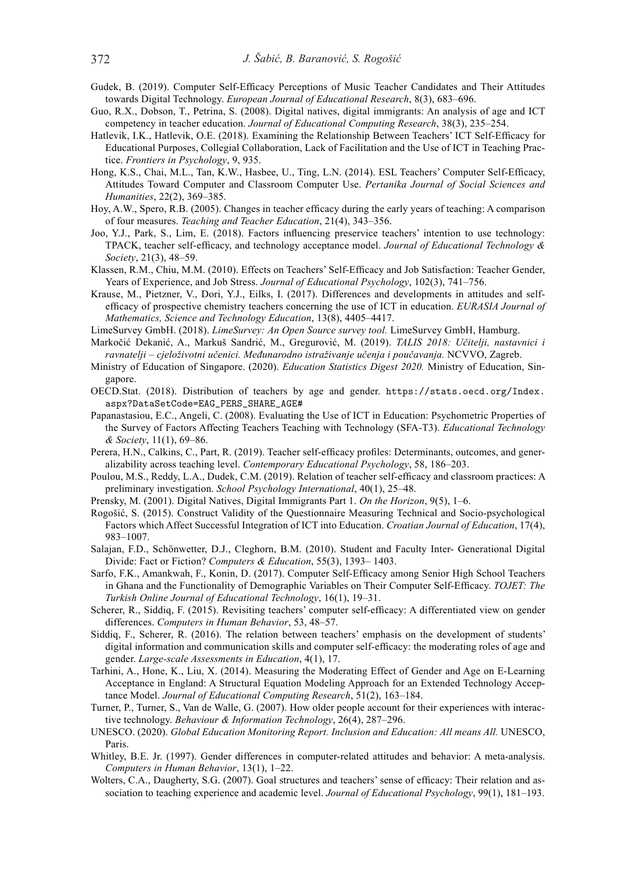- Gudek, B. (2019). Computer Self-Efficacy Perceptions of Music Teacher Candidates and Their Attitudes towards Digital Technology. *European Journal of Educational Research*, 8(3), 683–696.
- Guo, R.X., Dobson, T., Petrina, S. (2008). Digital natives, digital immigrants: An analysis of age and ICT competency in teacher education. *Journal of Educational Computing Research*, 38(3), 235–254.
- Hatlevik, I.K., Hatlevik, O.E. (2018). Examining the Relationship Between Teachers' ICT Self-Efficacy for Educational Purposes, Collegial Collaboration, Lack of Facilitation and the Use of ICT in Teaching Practice. *Frontiers in Psychology*, 9, 935.
- Hong, K.S., Chai, M.L., Tan, K.W., Hasbee, U., Ting, L.N. (2014). ESL Teachers' Computer Self-Efficacy, Attitudes Toward Computer and Classroom Computer Use. *Pertanika Journal of Social Sciences and Humanities*, 22(2), 369–385.
- Hoy, A.W., Spero, R.B. (2005). Changes in teacher efficacy during the early years of teaching: A comparison of four measures. *Teaching and Teacher Education*, 21(4), 343–356.
- Joo, Y.J., Park, S., Lim, E. (2018). Factors influencing preservice teachers' intention to use technology: TPACK, teacher self-efficacy, and technology acceptance model. *Journal of Educational Technology & Society*, 21(3), 48–59.
- Klassen, R.M., Chiu, M.M. (2010). Effects on Teachers' Self-Efficacy and Job Satisfaction: Teacher Gender, Years of Experience, and Job Stress. *Journal of Educational Psychology*, 102(3), 741–756.
- Krause, M., Pietzner, V., Dori, Y.J., Eilks, I. (2017). Differences and developments in attitudes and selfefficacy of prospective chemistry teachers concerning the use of ICT in education. *EURASIA Journal of Mathematics, Science and Technology Education*, 13(8), 4405–4417.
- LimeSurvey GmbH. (2018). *LimeSurvey: An Open Source survey tool.* LimeSurvey GmbH, Hamburg.
- Markočić Dekanić, A., Markuš Sandrić, M., Gregurović, M. (2019). *TALIS 2018: Učitelji, nastavnici i ravnatelji – cjeloživotni učenici. Međunarodno istraživanje učenja i poučavanja.* NCVVO, Zagreb.
- Ministry of Education of Singapore. (2020). *Education Statistics Digest 2020.* Ministry of Education, Singapore.
- OECD.Stat. (2018). Distribution of teachers by age and gender. https://stats.oecd.org/Index. aspx?DataSetCode=EAG\_PERS\_SHARE\_AGE#
- Papanastasiou, E.C., Angeli, C. (2008). Evaluating the Use of ICT in Education: Psychometric Properties of the Survey of Factors Affecting Teachers Teaching with Technology (SFA-T3). *Educational Technology & Society*, 11(1), 69–86.
- Perera, H.N., Calkins, C., Part, R. (2019). Teacher self-efficacy profiles: Determinants, outcomes, and generalizability across teaching level. *Contemporary Educational Psychology*, 58, 186–203.
- Poulou, M.S., Reddy, L.A., Dudek, C.M. (2019). Relation of teacher self-efficacy and classroom practices: A preliminary investigation. *School Psychology International*, 40(1), 25–48.
- Prensky, M. (2001). Digital Natives, Digital Immigrants Part 1. *On the Horizon*, 9(5), 1–6.
- Rogošić, S. (2015). Construct Validity of the Questionnaire Measuring Technical and Socio-psychological Factors which Affect Successful Integration of ICT into Education. *Croatian Journal of Education*, 17(4), 983–1007.
- Salajan, F.D., Schönwetter, D.J., Cleghorn, B.M. (2010). Student and Faculty Inter- Generational Digital Divide: Fact or Fiction? *Computers & Education*, 55(3), 1393– 1403.
- Sarfo, F.K., Amankwah, F., Konin, D. (2017). Computer Self-Efficacy among Senior High School Teachers in Ghana and the Functionality of Demographic Variables on Their Computer Self-Efficacy. *TOJET: The Turkish Online Journal of Educational Technology*, 16(1), 19–31.
- Scherer, R., Siddiq, F. (2015). Revisiting teachers' computer self-efficacy: A differentiated view on gender differences. *Computers in Human Behavior*, 53, 48–57.
- Siddiq, F., Scherer, R. (2016). The relation between teachers' emphasis on the development of students' digital information and communication skills and computer self-efficacy: the moderating roles of age and gender. *Large-scale Assessments in Education*, 4(1), 17.
- Tarhini, A., Hone, K., Liu, X. (2014). Measuring the Moderating Effect of Gender and Age on E-Learning Acceptance in England: A Structural Equation Modeling Approach for an Extended Technology Acceptance Model. *Journal of Educational Computing Research*, 51(2), 163–184.
- Turner, P., Turner, S., Van de Walle, G. (2007). How older people account for their experiences with interactive technology. *Behaviour & Information Technology*, 26(4), 287–296.
- UNESCO. (2020). *Global Education Monitoring Report. Inclusion and Education: All means All.* UNESCO, Paris.
- Whitley, B.E. Jr. (1997). Gender differences in computer-related attitudes and behavior: A meta-analysis. *Computers in Human Behavior*, 13(1), 1–22.
- Wolters, C.A., Daugherty, S.G. (2007). Goal structures and teachers' sense of efficacy: Their relation and association to teaching experience and academic level. *Journal of Educational Psychology*, 99(1), 181–193.